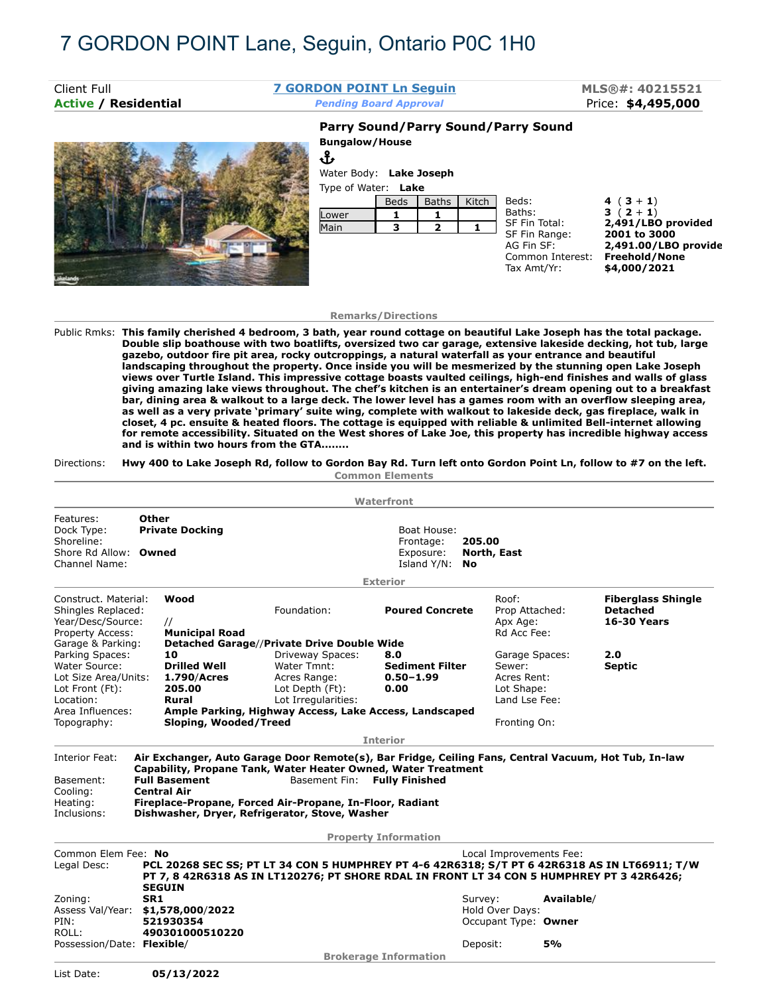## 7 GORDON POINT Lane, Seguin, Ontario P0C 1H0

| Client Full                 | <b>7 GORDON POINT Ln Seguin</b>                                              |             |       |       |                                               | MLS®#: 40215521                                       |  |
|-----------------------------|------------------------------------------------------------------------------|-------------|-------|-------|-----------------------------------------------|-------------------------------------------------------|--|
| <b>Active / Residential</b> | <b>Pending Board Approval</b>                                                |             |       |       |                                               | Price: \$4,495,000                                    |  |
|                             |                                                                              |             |       |       | Parry Sound/Parry Sound/Parry Sound           |                                                       |  |
|                             | <b>Bungalow/House</b><br>Վ<br>Water Body: Lake Joseph<br>Type of Water: Lake |             |       |       |                                               |                                                       |  |
|                             |                                                                              | <b>Beds</b> | Baths | Kitch | Beds:                                         | 4 $(3 + 1)$                                           |  |
|                             | Lower                                                                        |             |       |       | Baths:                                        | $3(2+1)$                                              |  |
|                             | Main                                                                         | 3           |       |       | SF Fin Total:<br>SF Fin Range:                | 2,491/LBO provided<br>2001 to 3000                    |  |
|                             |                                                                              |             |       |       | AG Fin SF:<br>Common Interest:<br>Tax Amt/Yr: | 2,491.00/LBO provide<br>Freehold/None<br>\$4,000/2021 |  |

## **Remarks/Directions**

Public Rmks: **This family cherished 4 bedroom, 3 bath, year round cottage on beautiful Lake Joseph has the total package. Double slip boathouse with two boatlifts, oversized two car garage, extensive lakeside decking, hot tub, large gazebo, outdoor fire pit area, rocky outcroppings, a natural waterfall as your entrance and beautiful landscaping throughout the property. Once inside you will be mesmerized by the stunning open Lake Joseph views over Turtle Island. This impressive cottage boasts vaulted ceilings, high-end finishes and walls of glass giving amazing lake views throughout. The chef's kitchen is an entertainer's dream opening out to a breakfast bar, dining area & walkout to a large deck. The lower level has a games room with an overflow sleeping area, as well as a very private 'primary' suite wing, complete with walkout to lakeside deck, gas fireplace, walk in closet, 4 pc. ensuite & heated floors. The cottage is equipped with reliable & unlimited Bell-internet allowing for remote accessibility. Situated on the West shores of Lake Joe, this property has incredible highway access and is within two hours from the GTA........**

## Directions: **Hwy 400 to Lake Joseph Rd, follow to Gordon Bay Rd. Turn left onto Gordon Point Ln, follow to #7 on the left.**

**Common Elements**

|                                                                                          |                       |                                                             |                                                                                                                                                                                                                                                                                                      | Waterfront                                              |                                                                        |            |                                                                    |
|------------------------------------------------------------------------------------------|-----------------------|-------------------------------------------------------------|------------------------------------------------------------------------------------------------------------------------------------------------------------------------------------------------------------------------------------------------------------------------------------------------------|---------------------------------------------------------|------------------------------------------------------------------------|------------|--------------------------------------------------------------------|
| Features:<br>Dock Type:<br>Shoreline:<br>Shore Rd Allow:<br>Channel Name:                | <b>Other</b><br>Owned | <b>Private Docking</b>                                      |                                                                                                                                                                                                                                                                                                      | Boat House:<br>Frontage:<br>Exposure:<br>Island Y/N: No | 205.00<br>North, East                                                  |            |                                                                    |
|                                                                                          |                       |                                                             |                                                                                                                                                                                                                                                                                                      | <b>Exterior</b>                                         |                                                                        |            |                                                                    |
| Construct. Material:<br>Shingles Replaced:<br>Year/Desc/Source:<br>Property Access:      |                       | Wood<br>$\prime\prime$<br><b>Municipal Road</b>             | Foundation:                                                                                                                                                                                                                                                                                          | <b>Poured Concrete</b>                                  | Roof:<br>Prop Attached:<br>Apx Age:<br>Rd Acc Fee:                     |            | <b>Fiberglass Shingle</b><br><b>Detached</b><br><b>16-30 Years</b> |
| Garage & Parking:                                                                        |                       |                                                             | Detached Garage//Private Drive Double Wide                                                                                                                                                                                                                                                           |                                                         |                                                                        |            |                                                                    |
| Parking Spaces:<br>Water Source:<br>Lot Size Area/Units:<br>Lot Front (Ft):<br>Location: |                       | 10<br><b>Drilled Well</b><br>1.790/Acres<br>205.00<br>Rural | Driveway Spaces:<br>Water Tmnt:<br>Acres Range:<br>Lot Depth (Ft):<br>Lot Irregularities:                                                                                                                                                                                                            | 8.0<br><b>Sediment Filter</b><br>$0.50 - 1.99$<br>0.00  | Garage Spaces:<br>Sewer:<br>Acres Rent:<br>Lot Shape:<br>Land Lse Fee: |            | 2.0<br><b>Septic</b>                                               |
| Area Influences:                                                                         |                       |                                                             | Ample Parking, Highway Access, Lake Access, Landscaped                                                                                                                                                                                                                                               |                                                         |                                                                        |            |                                                                    |
| Topography:                                                                              |                       | Sloping, Wooded/Treed                                       |                                                                                                                                                                                                                                                                                                      |                                                         | Fronting On:                                                           |            |                                                                    |
|                                                                                          |                       |                                                             |                                                                                                                                                                                                                                                                                                      | <b>Interior</b>                                         |                                                                        |            |                                                                    |
| Interior Feat:<br>Basement:<br>Cooling:<br>Heating:<br>Inclusions:                       |                       | <b>Full Basement</b><br><b>Central Air</b>                  | Air Exchanger, Auto Garage Door Remote(s), Bar Fridge, Ceiling Fans, Central Vacuum, Hot Tub, In-law<br>Capability, Propane Tank, Water Heater Owned, Water Treatment<br>Basement Fin:<br>Fireplace-Propane, Forced Air-Propane, In-Floor, Radiant<br>Dishwasher, Dryer, Refrigerator, Stove, Washer | <b>Fully Finished</b>                                   |                                                                        |            |                                                                    |
|                                                                                          |                       |                                                             |                                                                                                                                                                                                                                                                                                      | <b>Property Information</b>                             |                                                                        |            |                                                                    |
| Common Elem Fee: No<br>Legal Desc:                                                       |                       | <b>SEGUIN</b>                                               | PCL 20268 SEC SS; PT LT 34 CON 5 HUMPHREY PT 4-6 42R6318; S/T PT 6 42R6318 AS IN LT66911; T/W<br>PT 7, 8 42R6318 AS IN LT120276; PT SHORE RDAL IN FRONT LT 34 CON 5 HUMPHREY PT 3 42R6426;                                                                                                           |                                                         | Local Improvements Fee:                                                |            |                                                                    |
| Zoning:<br>Assess Val/Year:                                                              | SR <sub>1</sub>       | \$1,578,000/2022                                            |                                                                                                                                                                                                                                                                                                      |                                                         | Survey:<br>Hold Over Days:                                             | Available/ |                                                                    |
| PIN:<br>ROLL:<br>Possession/Date: Flexible/                                              |                       | 521930354<br>490301000510220                                |                                                                                                                                                                                                                                                                                                      |                                                         | Occupant Type: Owner                                                   | 5%         |                                                                    |
|                                                                                          |                       |                                                             |                                                                                                                                                                                                                                                                                                      | <b>Brokerage Information</b>                            | Deposit:                                                               |            |                                                                    |
|                                                                                          |                       |                                                             |                                                                                                                                                                                                                                                                                                      |                                                         |                                                                        |            |                                                                    |
| List Date:                                                                               |                       | 05/13/2022                                                  |                                                                                                                                                                                                                                                                                                      |                                                         |                                                                        |            |                                                                    |